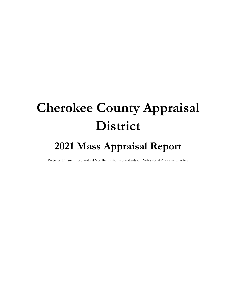# Cherokee County Appraisal District

# 2021 Mass Appraisal Report

Prepared Pursuant to Standard 6 of the Uniform Standards of Professional Appraisal Practice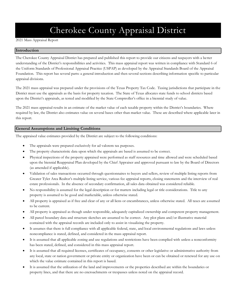# Cherokee County Appraisal District

2021 Mass Appraisal Report

# Introduction

The Cherokee County Appraisal District has prepared and published this report to provide our citizens and taxpayers with a better understanding of the District's responsibilities and activities. This mass appraisal report was written in compliance with Standard 6 of the Uniform Standards of Professional Appraisal Practice (USPAP) as developed by the Appraisal Standards Board of the Appraisal Foundation. This report has several parts: a general introduction and then several sections describing information specific to particular appraisal divisions.

The 2021 mass appraisal was prepared under the provisions of the Texas Property Tax Code. Taxing jurisdictions that participate in the District must use the appraisals as the basis for property taxation. The State of Texas allocates state funds to school districts based upon the District's appraisals, as tested and modified by the State Comptroller's office in a biennial study of value.

The 2021 mass appraisal results in an estimate of the market value of each taxable property within the District's boundaries. Where required by law, the District also estimates value on several bases other than market value. These are described where applicable later in this report.

# General Assumptions and Limiting Conditions

The appraised value estimates provided by the District are subject to the following conditions:

- The appraisals were prepared exclusively for ad valorem tax purposes.
- The property characteristic data upon which the appraisals are based is assumed to be correct.
- Physical inspections of the property appraised were performed as staff resources and time allowed and were scheduled based upon the biennial Reappraisal Plan developed by the Chief Appraiser and approved pursuant to law by the Board of Directors (as amended if applicable).
- Validation of sales transactions occurred through questionnaires to buyers and sellers, review of multiple listing reports from Greater Tyler Area Realtor's multiple listing service, various fee appraisal reports, closing statements and the interview of real estate professionals. In the absence of secondary confirmation, all sales data obtained was considered reliable.
- No responsibility is assumed for the legal description or for matters including legal or title considerations. Title to any property is assumed to be good and marketable, unless otherwise stated.
- All property is appraised as if free and clear of any or all liens or encumbrances, unless otherwise stated. All taxes are assumed to be current.
- All property is appraised as though under responsible, adequately capitalized ownership and competent property management.
- All parcel boundary data and structure sketches are assumed to be correct. Any plot plans and/or illustrative material contained with the appraisal records are included only to assist in visualizing the property.
- It assumes that there is full compliance with all applicable federal, state, and local environmental regulations and laws unless noncompliance is stated, defined, and considered in the mass appraisal report.
- It is assumed that all applicable zoning and use regulations and restrictions have been complied with unless a nonconformity has been stated, defined, and considered in this mass appraisal report.
- It is assumed that all required licenses, certificates of occupancy, consents or other legislative or administrative authority from any local, state or nation government or private entity or organization have been or can be obtained or renewed for any use on which the value estimate contained in this report is based.
- It is assumed that the utilization of the land and improvements or the properties described are within the boundaries or property lines, and that there are no encroachments or trespasses unless noted on the appraisal record.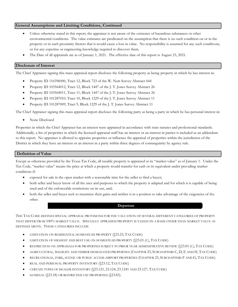#### General Assumptions and Limiting Conditions, Continued

- Unless otherwise stated in this report, the appraiser is not aware of the existence of hazardous substances or other environmental conditions. The value estimates are predicated on the assumption that there is no such condition on or in the property or in such proximity thereto that it would cause a loss in value. No responsibility is assumed for any such conditions, or for any expertise or engineering knowledge required to discover them.
- The Date of all appraisals are as of January 1, 2021. The effective date of this report is August 23, 2021.

### Disclosure of Interest

The Chief Appraiser signing this mass appraisal report discloses the following property as being property in which he has interest in:

- Property ID 116396000, Tract 12, Block 723 of the W. Nutt Survey Abstract 644
- Property ID 103564012, Tract 12, Block 1447 of the J. T. Jones Survey Abstract 26
- Property ID 103564011, Tract 11, Block 1447 of the J. T. Jones Survey Abstract 26
- Property ID 101287010, Tract 10, Block 1229 of the J. T. Jones Survey Abstract 11
- Property ID 101287009, Tract 9, Block 1229 of the J. T. Jones Survey Abstract 11

The Chief Appraiser signing this mass appraisal report discloses the following party as being a party in which he has personal interest in:

• None Disclosed

Properties in which the Chief Appraiser has an interest were appraised in accordance with state statutes and professional standards. Additionally, a list of properties in which the licensed appraisal staff has an interest or an interest in parties is included as an addendum to this report. No appraiser is allowed to appraise properties or influence the appraisal of properties within the jurisdiction of the District in which they have an interest or an interest in a party within three degrees of consanguinity by agency rule.

### Definition of Value

Except as otherwise provided by the Texas Tax Code, all taxable property is appraised at its "market value" as of January 1. Under the Tax Code, "market value" means the price at which a property would transfer for cash or its equivalent under prevailing market conditions if:

- exposed for sale in the open market with a reasonable time for the seller to find a buyer;
- both seller and buyer know of all the uses and purposes to which the property is adapted and for which it is capable of being used and of the enforceable restrictions on its use, and;
- both the seller and buyer seek to maximize their gains and neither is in a position to take advantage of the exigencies of the other.

#### Departure

THE TAX CODE DEFINES SPECIAL APPRAISAL PROVISIONS FOR THE VALUATION OF SEVERAL DIFFERENT CATEGORIES OF PROPERTY THAT DIFFER FROM 100% MARKET VALUE. SPECIALLY APPRAISED PROPERTY IS TAXED ON A BASIS OTHER THAN MARKET VALUE AS DEFINED ABOVE. THESE CATEGORIES INCLUDE

- LIMITATION ON RESIDENTIAL HOMESTEAD PROPERTY (§23.23, TAX CODE)
- LIMITATION OF HIGHEST AND BEST USE ON HOMESTEAD PROPERTY (§23.01 (C), TAX CODE)
- RESTRICTION ON APPRAISALS FOR PROPERTIES SUBJECT TO PRIOR YEAR ADMINISTRATIVE REVIEW (§23.01 (C), TAX CODE)
- AGRICULTURAL, WILDLIFE AND TIMBER DESIGNATED PROPERTIES (CHAPTER 23, SUBCHAPTERS C, D, E AND H, TAX CODE)
- RECREATIONAL, PARK, SCENIC OR PUBLIC ACCESS AIRPORT PROPERTIES (CHAPTER 23, SUBCHAPTERS F AND G, TAX CODE)
- REAL AND PERSONAL PROPERTY INVENTORY (\$23.12, TAX CODE)
- CERTAIN TYPES OF DEALER INVENTORY (§23.121, 23.124, 23.1241 AND 23.127, TAX CODE)
- NOMINAL (§23.18) OR RESTRICTED USE PROPERTIES (§23.83).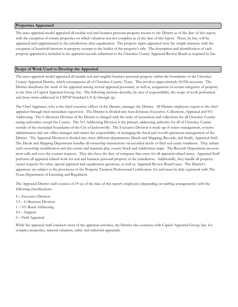#### Properties Appraised

The mass appraisal model appraised all taxable real and business personal property known to the District as of the date of this report, with the exception of certain properties on which valuation was not complete as of the date of this report. These, by law, will be appraised and supplemented to the jurisdictions after equalization. The property rights appraised were fee simple interests, with the exception of leasehold interests in property exempt to the holder of the property's title. The description and identification of each property appraised is included in the appraisal records submitted to the Cherokee County Appraisal Review Board as required by law.

### Scope of Work Used to Develop the Appraisal

The mass appraisal model appraised all taxable real and tangible business personal property within the boundaries of the Cherokee County Appraisal District, which encompasses all of Cherokee County, Texas. This involves approximately 60,926 accounts. The District distributes the work of the appraisal among several appraisal personnel, as well as, assignment of certain categories of property to the firm of Capitol Appraisal Group, Inc. The following sections describe, by area of responsibility, the scope of work performed and those items addressed in USPAP Standard 6-8 (k) through (p).

The Chief Appraiser, who is the chief executive officer of the District, manages the District. All District employees report to the chief appraiser through their immediate supervisor. The District is divided into four divisions: Executive, Collections, Appraisal and 911 Addressing. The Collections Division of the District is charged with the tasks of assessment and collections for all Cherokee County taxing authorities except the County. The 911 Addressing Division is the primary addressing authority for all of Cherokee County outside of the municipal boundaries of the City of Jacksonville. The Executive Division is made up of senior management, systems administrator and one office manager and carries the responsibility of managing the fiscal and overall operations management of the District. The Appraisal Division is divided into three different departments: Deeds and Mapping, Records, and finally, Appraisal Staff. The Deeds and Mapping Department handles all ownership transactions via recorded deeds or filed real estate renditions. They initiate each ownership modification and also create and maintain plat, county block and subdivision maps. The Records Department answers most calls and over the counter requests. They also have the duty of computer data entry for all appraisal related items. Appraisal Staff performs all appraisal related work for real and business personal property in the jurisdiction. Additionally, they handle all property owner requests for value, special appraisal and equalization questions, as well as, Appraisal Review Board cases. The District's appraisers are subject to the provisions of the Property Taxation Professional Certification Act and must be duly registered with The Texas Department of Licensing and Regulation.

The Appraisal District staff consists of 19 (as of the date of this report) employees (depending on staffing arrangements) with the following classifications:

4 - Executive Division 3.5 – Collections Division  $1 - 911$  Rural Addressing  $4.5 -$ Support 6 - Field Appraisal

While the appraisal staff conducts most of the appraisal activities, the District also contracts with Capitol Appraisal Group, Inc. for complex properties, mineral valuation, utility and industrial appraisals.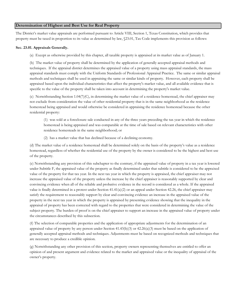# Determination of Highest and Best Use for Real Property

The District's market value appraisals are performed pursuant to Article VIII, Section 1, Texas Constitution, which provides that property must be taxed in proportion to its value as determined by law, §23.01, Tax Code implements this provision as follows:

#### Sec. 23.01. Appraisals Generally.

(a) Except as otherwise provided by this chapter, all taxable property is appraised at its market value as of January 1.

(b) The market value of property shall be determined by the application of generally accepted appraisal methods and techniques. If the appraisal district determines the appraised value of a property using mass appraisal standards, the mass appraisal standards must comply with the Uniform Standards of Professional Appraisal Practice. The same or similar appraisal methods and techniques shall be used in appraising the same or similar kinds of property. However, each property shall be appraised based upon the individual characteristics that affect the property's market value, and all available evidence that is specific to the value of the property shall be taken into account in determining the property's market value.

(c) Notwithstanding Section 1.04(7)(C), in determining the market value of a residence homestead, the chief appraiser may not exclude from consideration the value of other residential property that is in the same neighborhood as the residence homestead being appraised and would otherwise be considered in appraising the residence homestead because the other residential property:

(1) was sold at a foreclosure sale conducted in any of the three years preceding the tax year in which the residence homestead is being appraised and was comparable at the time of sale based on relevant characteristics with other residence homesteads in the same neighborhood; or

(2) has a market value that has declined because of a declining economy.

(d) The market value of a residence homestead shall be determined solely on the basis of the property's value as a residence homestead, regardless of whether the residential use of the property by the owner is considered to be the highest and best use of the property.

(e) Notwithstanding any provision of this subchapter to the contrary, if the appraised value of property in a tax year is lowered under Subtitle F, the appraised value of the property as finally determined under that subtitle is considered to be the appraised value of the property for that tax year. In the next tax year in which the property is appraised, the chief appraiser may not increase the appraised value of the property unless the increase by the chief appraiser is reasonably supported by clear and convincing evidence when all of the reliable and probative evidence in the record is considered as a whole. If the appraised value is finally determined in a protest under Section 41.41(a)(2) or an appeal under Section 42.26, the chief appraiser may satisfy the requirement to reasonably support by clear and convincing evidence an increase in the appraised value of the property in the next tax year in which the property is appraised by presenting evidence showing that the inequality in the appraisal of property has been corrected with regard to the properties that were considered in determining the value of the subject property. The burden of proof is on the chief appraiser to support an increase in the appraised value of property under the circumstances described by this subsection.

(f) The selection of comparable properties and the application of appropriate adjustments for the determination of an appraised value of property by any person under Section  $41.43(b)(3)$  or  $42.26(a)(3)$  must be based on the application of generally accepted appraisal methods and techniques. Adjustments must be based on recognized methods and techniques that are necessary to produce a credible opinion.

(g) Notwithstanding any other provision of this section, property owners representing themselves are entitled to offer an opinion of and present argument and evidence related to the market and appraised value or the inequality of appraisal of the owner's property.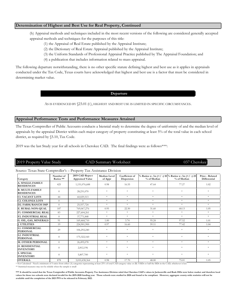### Determination of Highest and Best Use for Real Property, Continued

(h) Appraisal methods and techniques included in the most recent versions of the following are considered generally accepted appraisal methods and techniques for the purposes of this title:

- (1) the Appraisal of Real Estate published by the Appraisal Institute;
- (2) the Dictionary of Real Estate Appraisal published by the Appraisal Institute;
- (3) the Uniform Standards of Professional Appraisal Practice published by The Appraisal Foundation; and
- (4) a publication that includes information related to mass appraisal.

The following departure notwithstanding, there is no other specific statute defining highest and best use as it applies in appraisals conducted under the Tax Code, Texas courts have acknowledged that highest and best use is a factor that must be considered in determining market value.

#### Departure

AS IS EVIDENCED BY §23.01 (C), HIGHEST AND BEST USE IS LIMITED IN SPECIFIC CIRCUMSTANCES.

### Appraisal Performance Tests and Performance Measures Attained

The Texas Comptroller of Public Accounts conducts a biennial study to determine the degree of uniformity of and the median level of appraisals by the appraisal District within each major category of property constituting at least 5% of the total value in each school district, as required by §5.10, Tax Code.

2019 was the last Study year for all schools in Cherokee CAD. The final findings were as follows\*\*\*:

# 2019 Property Value Study CAD Summary Worksheet 037 Cherokee

#### Source: Texas State Comptroller's - Property Tax Assistance Division

| Category                                     | Number of<br>Ratios ** | 2019 CAD Report<br><b>Appraised Value</b> | Median Level<br>of Appr | Coefficient of<br>Dispersion | % of Median     | % Ratios w /in (+/-) 10 % Ratios w /in (+/-) 25<br>% of Median | Price - Related<br>Differential |
|----------------------------------------------|------------------------|-------------------------------------------|-------------------------|------------------------------|-----------------|----------------------------------------------------------------|---------------------------------|
| <b>A. SINGLE-FAMILY</b><br><b>RESIDENCES</b> | 425                    | 1,151,076,688                             | 0.98                    | 16.55                        | 47.64           | 77.27                                                          | 1.02                            |
| <b>B. MULTI-FAMILY</b><br><b>RESIDENCES</b>  | $\Omega$               | 28,231,070                                | *                       | $\ast$                       | $\ast$          | $\ast$                                                         | $\ast$                          |
| <b>C1. VACANT LOTS</b>                       | 44                     | 60,029,513                                | *                       | $\ast$                       | $\ast$          | $*$                                                            | $\ast$                          |
| <b>C2. COLONIA LOTS</b>                      | $\Omega$               | $\overline{0}$                            | *                       | *                            | $\ast$          | $\ast$                                                         | $\ast$                          |
| D2. FARM/RANCH IMP                           | $\Omega$               | 25,557,724                                | *                       | *                            | $\mathcal{R}$ . | $\ast$                                                         | $\ast$                          |
| <b>E. RURAL-NON-QUAL</b>                     | 187                    | 769,067,276                               | 0.95                    | 22.50                        | 31.60           | 68.13                                                          | 1.05                            |
| <b>F1. COMMERCIAL REAL</b>                   | 83                     | 227,604,261                               | *                       | $\ast$                       | $\ast$          | $\ast$                                                         | $\ast$                          |
| <b>F2. INDUSTRIAL REAL</b>                   | $\Omega$               | 37,771,848                                | *                       | *                            | *               | $\ast$                                                         | $*$                             |
| G. OIL, GAS, MINERALS                        | 91                     | 169,468,710                               | 1.00                    | 3.74                         | 95.24           | 97.52                                                          | 1.01                            |
| <b>J. UTILITIES</b>                          | 19                     | 224,901,900                               | 0.97                    | 16.60                        | 59.11           | 77.42                                                          | 1.04                            |
| <b>L1. COMMERCIAL</b><br><b>PERSONAL</b>     | 29                     | 106,292,240                               | *                       | $\ast$                       | $\ast$          | $\ast$                                                         | $\ast$                          |
| <b>L2. INDUSTRIAL</b><br><b>PERSONAL</b>     | $\Omega$               | 175,322,160                               | *                       | $\ast$                       | $\ast$          | $\ast$                                                         | $\ast$                          |
| <b>M. OTHER PERSONAL</b>                     | $\overline{0}$         | 26,495,078                                | *                       | $\ast$                       | *               | $\ast$                                                         | *                               |
| <b>O. RESIDENTIAL</b><br><b>INVENTORY</b>    | $\Omega$               | 2,812,196                                 | *                       | $\ast$                       | sk.             | $\ast$                                                         | $\ast$                          |
| <b>S. SPECIAL</b><br><b>INVENTORY</b>        | $\Omega$               | 5,807,700                                 | $\frac{1}{2}$           | $\ast$                       | $\ast$          | $\ast$                                                         | $\ast$                          |
| <b>OVERALL</b>                               | 878                    | 3,010,438,364                             | 0.98                    | 17.70                        | 48.00           | 75.01                                                          | 1.05                            |

\* Not Calculated - Need a minimum of 5 ratios from either (A) categories representing at least 25% of total CAD category value or (B) 5 ISDs or half the ISDs in the CAD, whichever is less

\*\* Statistical measures may not be reliable when the sample is small

\*\*\* It should be noted that the Texas Comptroller of Public Accounts-Property Tax Assistance Division ruled that Cherokee CAD's values in Jacksonville and Rusk ISDs were below market and therefore local values for those two schools were declared invalid for the 2019-2020 funding year. Those schools were studied in 2020 and found to be compliant. However, aggregate county-wide statistics will not be available until the completion of the 2021 PVS to be released in February 2022.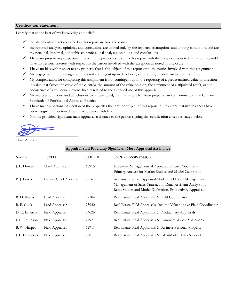### Certification Statement:

I certify that to the best of my knowledge and belief:

- $\checkmark$  the statements of fact contained in this report are true and correct
- $\checkmark$  the reported analyses, opinions, and conclusions are limited only by the reported assumptions and limiting conditions, and are my personal, impartial, and unbiased professional analyses, opinions, and conclusions
- ! I have no present or prospective interest in the property subject to this report with the exception as noted in disclosure, and I have no personal interest with respect to the parties involved with the exception as noted in disclosure.
- $\checkmark$  I have no bias with respect to any property that is the subject of this report or to the parties involved with this assignment.
- ! My engagement in this assignment was not contingent upon developing or reporting predetermined results.
- $\checkmark$  My compensation for completing this assignment is not contingent upon the reporting of a predetermined value or direction in value that favors the cause of the client(s), the amount of the value opinion, the attainment of a stipulated result, or the occurrence of a subsequent event directly related to the intended use of this appraisal.
- ! My analyses, opinions, and conclusions were developed, and this report has been prepared, in conformity with the Uniform Standards of Professional Appraisal Practice
- $\checkmark$  I have made a personal inspection of the properties that are the subject of this report to the extent that my designees have been assigned inspection duties in accordance with law.
- $\checkmark$  No one provided significant mass appraisal assistance to the person signing this certification except as stated below.

 $\overline{\phantom{a}}$ 

Chief Appraiser

| Appraisal Staff Providing Significant Mass Appraisal Assistance |                        |        |                                                                                                                                                                                           |  |  |
|-----------------------------------------------------------------|------------------------|--------|-------------------------------------------------------------------------------------------------------------------------------------------------------------------------------------------|--|--|
| <b>NAME</b>                                                     | TITLE                  | TDLR # | TYPE of ASSISTANCE                                                                                                                                                                        |  |  |
| J. L. Flowers                                                   | Chief Appraiser        | 68915  | Executive Management of Appraisal District Operations<br>Primary Analyst for Market Studies and Model Calibration                                                                         |  |  |
| P. J. Lowry                                                     | Deputy Chief Appraiser | 73567  | Administration of Appraisal Model, Field Staff Management,<br>Management of Sales Transaction Data, Assistant Analyst for<br>Ratio Studies and Model Calibration, Productivity Appraisals |  |  |
| R. D. Wallace                                                   | Lead Appraiser         | 72704  | Real Estate Field Appraisals & Field Coordinator                                                                                                                                          |  |  |
| B. P. Cook                                                      | Lead Appraiser         | 73940  | Real Estate Field Appraisals, Income Valuations & Field Coordinator                                                                                                                       |  |  |
| D. R. Emerson                                                   | Field Appraiser        | 74626  | Real Estate Field Appraisals & Productivity Appraisals                                                                                                                                    |  |  |
| J. C. Robinson                                                  | Field Appraiser        | 74977  | Real Estate Field Appraisals & Commercial Cost Valuations                                                                                                                                 |  |  |
| B. W. Harper                                                    | Field Appraiser        | 72711  | Real Estate Field Appraisals & Business Personal Property                                                                                                                                 |  |  |
| J. L. Henderson                                                 | Field Appraiser        | 75811  | Real Estate Field Appraisals & Sales-Market Data Support                                                                                                                                  |  |  |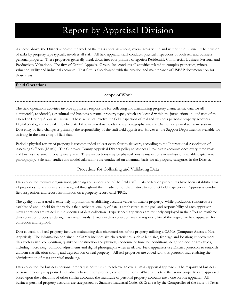# Report by Appraisal Division

As noted above, the District allocated the work of the mass appraisal among several areas within and without the District. The division of tasks by property type typically involves all staff. All field appraisal staff conducts physical inspections of both real and business personal property. These properties generally break down into four primary categories: Residential, Commercial, Business Personal and Productivity Valuations. The firm of Capitol Appraisal Group, Inc. conducts all activities related to complex properties, mineral valuation, utility and industrial accounts. That firm is also charged with the creation and maintenance of USPAP documentation for those areas.

# Field Operations

Scope of Work

The field operations activities involve appraisers responsible for collecting and maintaining property characteristic data for all commercial, residential, agricultural and business personal property types, which are located within the jurisdictional boundaries of the Cherokee County Appraisal District. These activities involve the field inspection of real and business personal property accounts. Digital photographs are taken by field staff that in turn downloads those photographs into the District's appraisal software system. Data entry of field changes is primarily the responsibility of the staff field appraisers. However, the Support Department is available for assisting in the data entry of field data.

Periodic physical review of property is recommended at least every four to six years, according to the International Association of Assessing Officers (IAAO). The Cherokee County Appraisal District policy to inspect all real estate accounts once every three years and business personal property every year. These inspections may be physical on-site inspections or analysis of available digital aerial photography. Sale ratio studies and model calibrations are conducted on an annual basis for all property categories in the District.

# Procedure for Collecting and Validating Data

Data collection requires organization, planning and supervision of the field staff. Data collection procedures have been established for all properties. The appraisers are assigned throughout the jurisdiction of the District to conduct field inspections. Appraisers conduct field inspections and record information on a property record card (PRC).

The quality of data used is extremely important in establishing accurate values of taxable property. While production standards are established and upheld for the various field activities, quality of data is emphasized as the goal and responsibility of each appraiser. New appraisers are trained in the specifics of data collection. Experienced appraisers are routinely employed in the effort to reinforce data collection processes during mass reappraisals. Errors in data collection are the responsibility of the respective field appraiser for correction and reproof.

Data collection of real property involves maintaining data characteristics of the property utilizing a CAMA (Computer Assisted Mass Appraisal). The information contained in CAMA includes site characteristics, such as land size, frontage and location; improvement data such as size, composition, quality of construction and physical, economic or function conditions; neighborhood or area types, including micro neighborhood adjustments and digital photographs when available. Field appraisers use District protocols to establish uniform classification coding and depreciation of real property. All real properties are coded with this protocol thus enabling the administration of mass appraisal modeling.

Data collection for business personal property is not utilized to achieve an overall mass appraisal approach. The majority of business personal property is appraised individually based upon property owner renditions. While is it is true that some properties are appraised based upon the valuations of other similar accounts, the multitude of personal property accounts are a one on one appraisal. All business personal property accounts are categorized by Standard Industrial Codes (SIC) as set by the Comptroller of the State of Texas.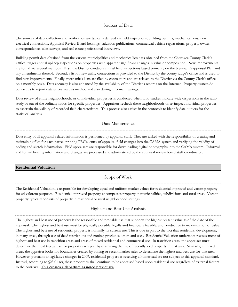### Sources of Data

The sources of data collection and verification are typically derived via field inspections, building permits, mechanics liens, new electrical connections, Appraisal Review Board hearings, valuation publications, commercial vehicle registrations, property owner correspondence, sales surveys, and real estate professional interviews.

Building permit data obtained from the various municipalities and mechanics lien data obtained from the Cherokee County Clerk's Office trigger annual upkeep inspections on properties with apparent significant changes in value or composition. New improvements are found via several methods. First, the District conducts annual field inspections based primarily on the biennial Reappraisal Plan and any amendments thereof. Second, a list of new utility connections is provided to the District by the county judge's office and is used to find new improvements. Finally, mechanic's liens are filed by contractors and are relayed to the District via the County Clerk's office on a monthly basis. Data accuracy is also enhanced by the availability of the District's records on the Internet. Property owners do contact us to report data errors via this method and also during informal hearings.

Data review of entire neighborhoods, or of individual properties is conducted when ratio studies indicate wide dispersions in the ratio study or out of the ordinary ratios for specific properties. Appraisers recheck these neighborhoods or re-inspect individual properties to ascertain the validity of recorded field characteristics. This process also assists in the protocols to identify data outliers for the statistical analysis.

# Data Maintenance

Data entry of all appraisal related information is performed by appraisal staff. They are tasked with the responsibility of creating and maintaining files for each parcel, printing PRC's, entry of appraisal field changes into the CAMA system and verifying the validity of coding and sketch information. Field appraisers are responsible for downloading digital photographs into the CAMA system. Informal and formal hearing information and changes are processed and administered by the appraisal review board staff coordinator.

### Residential Valuation

# Scope of Work

The Residential Valuation is responsible for developing equal and uniform market values for residential improved and vacant property for ad valorem purposes. Residential improved property encompasses property in municipalities, subdivisions and rural areas. Vacant property typically consists of property in residential or rural neighborhood settings.

# Highest and Best Use Analysis

The highest and best use of property is the reasonable and probable use that supports the highest present value as of the date of the appraisal. The highest and best use must be physically possible, legally and financially feasible, and productive to maximization of value. The highest and best use of residential property is normally its current use. This is due in part to the fact that residential development, in many areas, through use of deed restrictions and zoning, precludes other land uses. Residential Valuation undertakes reassessment of highest and best use in transition areas and areas of mixed residential and commercial use. In transition areas, the appraiser must determine the most typical use for property each year by examining the use of recently sold property in that area. Similarly, in mixed areas, the appraiser looks for boundaries created by zoning or recent market sales to determine the highest and best use for that area. However, pursuant to legislative changes in 2009, residential properties receiving a homestead are not subject to this appraisal standard. Instead, according to §23.01 (c), these properties shall continue to be appraised based upon residential use regardless of external factors to the contrary. This creates a departure as noted previously.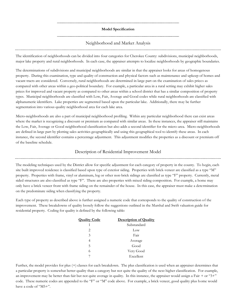### Model Specification

# Neighborhood and Market Analysis

The identification of neighborhoods can be divided into four categories for Cherokee County: subdivisions, municipal neighborhoods, major lake property and rural neighborhoods. In each case, the appraiser attempts to localize neighborhoods by geographic boundaries.

The determinations of subdivisions and municipal neighborhoods are similar in that the appraiser looks for areas of homogenous property. During this examination, type and quality of construction and physical factors such as maintenance and upkeep of homes and vacant tracts are considered. Conversely, rural neighborhoods are determined in large part on the examination of sales prices as compared with other areas within a geo-political boundary. For example, a particular area in a rural setting may exhibit higher sales prices for improved and vacant property as compared to other areas within a school district that has a similar composition of property types. Municipal neighborhoods are classified with Low, Fair, Average and Good codes while rural neighborhoods are classified with alphanumeric identifiers. Lake properties are segmented based upon the particular lake. Additionally, there may be further segmentation into various quality neighborhood area for each lake area.

Micro-neighborhoods are also a part of municipal neighborhood profiling. Within any particular neighborhood there can exist areas where the market is recognizing a discount or premium as compared with similar areas. In these instances, the appraiser still maintains the Low, Fair, Average or Good neighborhood classification but also adds a second identifier for the micro-area. Micro-neighborhoods are defined in large part by plotting sales activities geographically and using this geographical tool to identify these areas. In each instance, the second identifier contains a percentage adjustment. This adjustment modifies the properties as a discount or premium off of the baseline schedule.

# Description of Residential Improvement Model

The modeling techniques used by the District allow for specific adjustment for each category of property in the county. To begin, each site built improved residence is classified based upon type of exterior siding. Properties with brick-veneer are classified as a type "M" property. Properties with frame, vinyl or aluminum, log or other non-brick sidings are classified as type "F" property. Currently, metal sided structures are also classified as type "F". There are also properties with mixed siding composition. For example, a home may only have a brick veneer front with frame siding on the remainder of the house. In this case, the appraiser must make a determination on the predominate siding when classifying the property.

Each type of property as described above is further assigned a numeric code that corresponds to the quality of construction of the improvement. These breakdowns of quality loosely follow the suggestions outlined in the Marshal and Swift valuation guide for residential property. Coding for quality is defined by the following table:

| <b>Quality Code</b> | <b>Description of Quality</b> |
|---------------------|-------------------------------|
| 1                   | Substandard                   |
| 2                   | Low                           |
| 3                   | Fair                          |
| 4                   | Average                       |
| 5                   | Good                          |
| 6                   | Very Good                     |
|                     | Excellent                     |

Further, the model provides for plus (+) classes for each breakdown. The plus classification is used when an appraiser determines that a particular property is somewhat better quality than a category but not quite the quality of the next higher classification. For example, an improvement may be better than fair but not quite average in quality. In this instance, the appraiser would assign a Fair  $+$  or "3+" code. These numeric codes are appended to the "F" or "M" code above. For example, a brick veneer, good quality plus home would have a code of "M5+".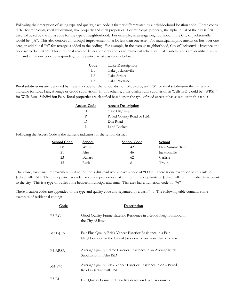Following the description of siding type and quality, each code is further differentiated by a neighborhood location code. These codes differ for municipal, rural subdivision, lake property and rural properties. For municipal property, the alpha initial of the city is first used followed by the alpha code for the type of neighborhood. For example, an average neighborhood in the City of Jacksonville would be "JA". This also denotes a municipal improvement on a lot less than one acre. For municipal improvements on lots over one acre, an additional "A" for acreage is added to the coding. For example, in the average neighborhood, City of Jacksonville instance, the code would be "JAA". This additional acreage delineation only applies to municipal schedules. Lake subdivisions are identified by an "L" and a numeric code corresponding to the particular lake as set out below:

| Code           | <b>Lake Description</b> |
|----------------|-------------------------|
| T.1            | Lake Jacksonville       |
| L2             | Lake Striker            |
| L <sub>3</sub> | Lake Palestine          |

Rural subdivisions are identified by the alpha code for the school district followed by an "RS" for rural subdivision then an alpha indicator for Low, Fair, Average or Good subdivision. In this scheme, a fair quality rural subdivision in Wells ISD would be "WRSF" for Wells Rural Subdivision Fair. Rural properties are classified based upon the type of road access it has as set out in this table:

| <b>Access Code</b> | <b>Access Description</b> |
|--------------------|---------------------------|
| н                  | State Highway             |
| р                  | Paved County Road or F.M. |
| Ð                  | Dirt Road                 |
|                    | Land Locked               |

Following the Access Code is the numeric indicator for the school district:

| <b>School Code</b> | School  | <b>School Code</b> | School          |
|--------------------|---------|--------------------|-----------------|
| 08                 | Wells   | 42                 | New Summerfield |
| 21                 | Alto    | 46                 | Jacksonville    |
| 23                 | Bullard | 62                 | Carlisle        |
| 15                 | Rusk    | 81                 | Troup           |

Therefore, for a rural improvement in Alto ISD on a dirt road would have a code of "D08". There is one exception to this rule in Jacksonville ISD. There is a particular code for certain properties that are not in the city limits of Jacksonville but immediately adjacent to the city. This is a type of buffer zone between municipal and rural. This area has a numerical code of "76".

These location codes are appended to the type and quality code and separated by a dash "-". The following table contains some examples of residential coding:

| Code       | <b>Description</b>                                                                                                            |
|------------|-------------------------------------------------------------------------------------------------------------------------------|
| $F5-RG$    | Good Quality Frame Exterior Residence in a Good Neighborhood in<br>the City of Rusk                                           |
| $M3+$ -JFA | Fair Plus Quality Brick Veneer Exterior Residence in a Fair<br>Neighborhood in the City of Jacksonville on more than one acre |
| F4-ARSA    | Average Quality Frame Exterior Residence in an Average Rural<br>Subdivision in Alto ISD                                       |
| M4-P46     | Average Quality Brick Veneer Exterior Residence in on a Paved<br>Road in Jacksonville ISD                                     |
| F3-L1      | Fair Quality Frame Exterior Residence on Lake Jacksonville                                                                    |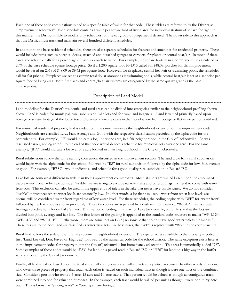Each one of these code combinations is tied to a specific table of value for that code. These tables are referred to by the District as "improvement schedules". Each schedule contains a value per square foot of living area for individual stratum of square footage. In this manner, the District is able to modify only schedules for a select group of properties if desired. The down side to this approach is that the District must track and maintain several hundred different schedules.

In addition to the base residential schedules, there are also separate schedules for features and amenities for residential property. These would include items such as porches, decks, attached and detached garages or carports, fireplaces or central heat/air. In most of these cases, the schedule calls for a percentage of base approach to value. For example, the square footage in a porch would be calculated as 20% of the base schedule square footage price. So if a 1,200 square foot F3-D15 called for \$48.09, porches for that improvement would be based on 20% of \$48.09 or \$9.62 per square foot. However, for fireplaces, central heat/air or swimming pools, the schedules call for flat pricing. Fireplaces are set at a certain total dollar amount as is swimming pools, while central heat/air is set at a set price per square foot of living area. Both fireplaces and central/heat air systems are categorized by the same quality grade as the base improvement.

# Description of Land Model

Land modeling for the District's residential and rural areas can be divided into categories similar to the neighborhood profiling shown above. Land is coded for municipal, rural subdivision, lake lots and for rural land in general. Land is valued primarily based upon acreage or square footage of the lot or tract. However, there are cases in the model where front footage or flat value per lot is utilized.

For municipal residential property, land is coded to in the same manner as the neighborhood extension on the improvement code. Neighborhoods are classified Low, Fair, Average and Good with the respective classification preceded by the alpha code for the particular city. For example, "JF" would indicate a lot, under one acre, in a fair neighborhood in the City of Jacksonville. As was discussed earlier, adding an "A" to the end of that code would denote a schedule for municipal lots over one acre. For the same example, "JFA" would indicate a lot over one acre located in a fair neighborhood in the City of Jacksonville.

Rural subdivisions follow the same naming convention discussed in the improvement section. The land table for a rural subdivision would begin with the alpha code for the school, followed by "RS" for rural subdivision followed by the alpha code for low, fair, average or good. For example, "BRSG" would indicate a land schedule for a good quality rural subdivision in Bullard ISD.

Lake lots are somewhat different in style than their improvement counterparts. Most lake lots are valued based upon the amount of usable water front. When we consider "usable" we are trying to exclude narrow insets and outcroppings that tend to come with water front lots. This exclusion can also be used in the upper ends of inlets in the lake that never have usable water. We do not consider "usable" in instances where water levels are seasonally low. In other words, a lot that has usable water front when lake levels are normal will be considered water front regardless of low water level. For these schedules, the coding begins with "WF" for 'water front' followed by the lake code as shown previously. These two codes are separated by a dash (-). For example, "WF-L2" means a water frontage schedule for a lot on Lake Striker. This method of coding in similar for Lake Jacksonville, but differs in that the lots are divided into good, average and fair lots. The first letters of the grading is appended to the standard code structure to make: "WF-L1G", "WF-L1A" and "WF-L1F". Furthermore, there are some lots on Lake Jacksonville that do not have good water unless the lake is full. These lots are to the north and are classified as water view lots. In these cases, the "WF" is replaced with "WV" in the code structure.

Rural land follows the style of the rural improvement neighborhood extension. The type of access available to the property is coded first (Land Locked, Dirt, Paved or Highway) followed by the numerical code for the school district. The same exception exists here as in the improvement codes for property not in the City of Jacksonville but immediately adjacent to. This area is numerically coded "76". Some examples of these codes would be "P23" for land on a paved road in Bullard ISD or "H76" for land on a highway in the buffer zone surrounding the City of Jacksonville.

Finally, all land is valued based upon the total size of all contiguously controlled tracts of a particular owner. In other words, a person who owns three pieces of property that touch each other is valued on each individual tract as though it were one tract of the combined size. Consider a person who owns a 5-acre, 15 acre and 10-acre tracts. That person would be valued as though all contiguous tracts were combined into one for valuation purposes. In the example, each tract would be valued per unit as though it were one thirty-acre tract. This is known as "pricing acres" or "pricing square footage.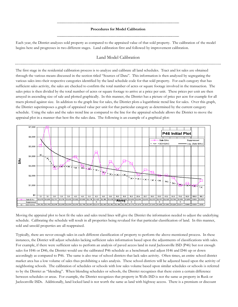#### Procedures for Model Calibration

Each year, the District analyzes sold property as compared to the appraised value of that sold property. The calibration of the model begins here and progresses in two different stages. Land calibration first and followed by improvement calibration.

# Land Model Calibration

The first stage in the residential calibration process is to analyze and calibrate all land schedules. Tract and lot sales are obtained through the various means discussed in the section titled "Sources of Data". This information is then analyzed by segregating the various sales into their respective categories identified by the land schedule code for that sold property. For each category that has sufficient sales activity, the sales are checked to confirm the total number of acres or square footage involved in the transaction. The sales price is then divided by the total number of acres or square footage to arrive at a price per unit. These prices per unit are then arrayed in ascending size of sale and plotted graphically. In this manner, the District has a picture of price per acre for example for all tracts plotted against size. In addition to the graph line for sales, the District plots a logarithmic trend line for sales. Over this graph, the District superimposes a graph of appraised value per unit for that particular category as determined by the current category schedule. Using the sales and the sales trend line as compared to the line for the appraisal schedule allows the District to move the appraisal plot in a manner that best fits the sales data. The following is an example of a graphical plot:



Moving the appraisal plot to best fit the sales and sales trend lines will give the District the information needed to adjust the underlying schedule. Calibrating the schedule will result in all properties being revalued for that particular classification of land. In this manner, sold and unsold properties are all reappraised.

Typically, there are never enough sales in each different classification of property to perform the above-mentioned process. In these instances, the District will adjust schedules lacking sufficient sales information based upon the adjustments of classifications with sales. For example, if there were sufficient sales to perform an analysis of paved access land in rural Jacksonville ISD (P46) but not enough sales for H46 or D46, the District would use the calibrated P46 schedule as a benchmark and adjust H46 and D46 up or down accordingly as compared to P46. The same is also true of school districts that lack sales activity. Often times, an entire school district market area has a low volume of sales thus prohibiting a sales analysis. These school districts will be adjusted based upon the activity of neighboring schools. The calibration of schedules or schools with low sales volume based upon similar schedules or schools is referred to by the District as "blending". When blending schedules or schools, the District recognizes that there exists a certain difference between schedules or areas. For example, the District recognizes that property in Wells ISD is not the same as property in Rusk or Jacksonville ISDs. Additionally, land locked land is not worth the same as land with highway access. There is a premium or discount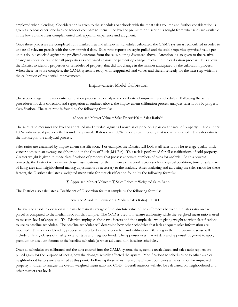employed when blending. Consideration is given to the schedules or schools with the most sales volume and further consideration is given as to how other schedules or schools compare to them. The level of premium or discount is sought from what sales are available in the low volume areas complemented with appraisal experience and judgment.

Once these processes are completed for a market area and all relevant schedules calibrated, the CAMA system is recalculated in order to update all relevant parcels with the new appraisal data. Sales ratio reports are again pulled and the sold properties appraised value per unit is double checked against the predicted outcome from the sales plotting discussed above. Attention is also given to the relative change in appraised value for all properties as compared against the percentage change invoked in the calibration process. This allows the District to identify properties or schedules of property that did not change in the manner anticipated by the calibration process. When these tasks are complete, the CAMA system is ready with reappraised land values and therefore ready for the next step which is the calibration of residential improvements.

# Improvement Model Calibration

The second stage in the residential calibration process is to analyze and calibrate all improvement schedules. Following the same procedures for data collection and segregation as outlined above, the improvement calibration process analyzes sales ratios by property classification. The sales ratio is found by the following formula:

# (Appraised Market Value ÷ Sales Price)\*100 = Sales Ratio%

The sales ratio measures the level of appraised market value against a known sales price on a particular parcel of property. Ratios under 100% indicate sold property that is under appraised. Ratios over 100% indicate sold property that is over appraised. The sales ratio is the first step in the analytical process.

Sales ratios are examined by improvement classification. For example, the District will look at all sales ratios for average quality brick veneer homes in an average neighborhood in the City of Rusk (M4-RA). This task is performed for all classifications of sold property. Greater weight is given to those classifications of property that possess adequate numbers of sales for analysis. As this process proceeds, the District will examine those classifications for the influence of several factors such as physical condition, time of sale, size of living area and neighborhood making adjustments as necessary to the analysis. After analyzing and adjusting the sales ratios for these factors, the District calculates a weighted mean ratio for that classification found by the following formula:

$$
\sum
$$
 Appraised Market Values ÷  $\sum$  Sales Prices = Weighted Sales Ratio

The District also calculates a Coefficient of Dispersion for that sample by the following formula:

(Average Absolute Deviation 
$$
\div
$$
 Median Sales Ratio) 100 = COD

The average absolute deviation is the mathematical average of the absolute value of the differences between the sales ratio on each parcel as compared to the median ratio for that sample. The COD is used to measure uniformity while the weighted mean ratio is used to measure level of appraisal. The District employees these two factors and the sample size when giving weight to what classifications to use as baseline schedules. The baseline schedules will determine how other schedules that lack adequate sales information are modified. This is also a blending process as described in the section for land calibration. Blending in the improvement sense will include differing classes of quality, exterior type and neighborhood. The appraiser uses market data and appraisal judgment to apply premium or discount factors to the baseline schedule(s) when adjusted non-baseline schedules.

Once all schedules are calibrated and the data entered into the CAMA system, the system is recalculated and sales ratio reports are pulled again for the purpose of seeing how the changes actually affected the system. Modifications to schedules or to other area or neighborhood factors are examined at this point. Following these adjustments, the District combines all sales ratios for improved property in order to analyze the overall weighted mean ratio and COD. Overall statistics will also be calculated on neighborhood and other market area levels.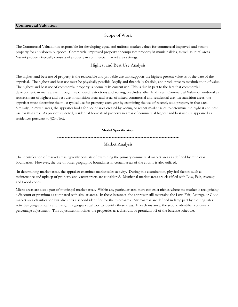# Scope of Work

The Commercial Valuation is responsible for developing equal and uniform market values for commercial improved and vacant property for ad valorem purposes. Commercial improved property encompasses property in municipalities, as well as, rural areas. Vacant property typically consists of property in commercial market area settings.

# Highest and Best Use Analysis

The highest and best use of property is the reasonable and probable use that supports the highest present value as of the date of the appraisal. The highest and best use must be physically possible, legally and financially feasible, and productive to maximization of value. The highest and best use of commercial property is normally its current use. This is due in part to the fact that commercial development, in many areas, through use of deed restrictions and zoning, precludes other land uses. Commercial Valuation undertakes reassessment of highest and best use in transition areas and areas of mixed commercial and residential use. In transition areas, the appraiser must determine the most typical use for property each year by examining the use of recently sold property in that area. Similarly, in mixed areas, the appraiser looks for boundaries created by zoning or recent market sales to determine the highest and best use for that area. As previously noted, residential homestead property in areas of commercial highest and best use are appraised as residences pursuant to §23.01(c).

#### Model Specification

# Market Analysis

The identification of market areas typically consists of examining the primary commercial market areas as defined by municipal boundaries. However, the use of other geographic boundaries in certain areas of the county is also utilized.

 In determining market areas, the appraiser examines market sales activity. During this examination, physical factors such as maintenance and upkeep of property and vacant tracts are considered. Municipal market areas are classified with Low, Fair, Average and Good codes.

Micro-areas are also a part of municipal market areas. Within any particular area there can exist niches where the market is recognizing a discount or premium as compared with similar areas. In these instances, the appraiser still maintains the Low, Fair, Average or Good market area classification but also adds a second identifier for the micro-area. Micro-areas are defined in large part by plotting sales activities geographically and using this geographical tool to identify these areas. In each instance, the second identifier contains a percentage adjustment. This adjustment modifies the properties as a discount or premium off of the baseline schedule.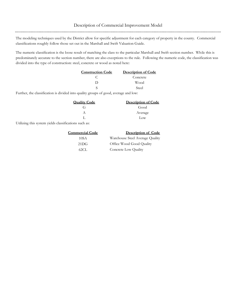The modeling techniques used by the District allow for specific adjustment for each category of property in the county. Commercial classifications roughly follow those set out in the Marshall and Swift Valuation Guide.

The numeric classification is the loose result of matching the class to the particular Marshall and Swift section number. While this is predominately accurate to the section number, there are also exceptions to the rule. Following the numeric code, the classification was divided into the type of construction: steel, concrete or wood as noted here:

| <b>Construction Code</b> | <b>Description of Code</b> |
|--------------------------|----------------------------|
|                          | Concrete                   |
|                          | Wood                       |
|                          | Steel                      |

Further, the classification is divided into quality groups of good, average and low:

| <b>Quality Code</b> | <b>Description of Code</b> |
|---------------------|----------------------------|
| G÷                  | Good                       |
|                     | Average                    |
|                     | Low                        |

Utilizing this system yields classifications such as:

| <b>Commercial Code</b> | Description of Code             |  |  |
|------------------------|---------------------------------|--|--|
| 10SA                   | Warehouse Steel Average Quality |  |  |
| 21DG                   | Office Wood Good Quality        |  |  |
| 62CL.                  | Concrete Low Quality            |  |  |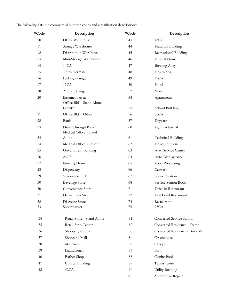| <u>#Code</u> | <b>Description</b>                               | #Code | Description                      |  |
|--------------|--------------------------------------------------|-------|----------------------------------|--|
| 10           | Office Warehouse                                 | 43    | 43CG                             |  |
| 11           | Storage Warehouse                                | 44    | Fraternal Building               |  |
| 12           | Distribution Warehouse                           | 45    | Recreational Building            |  |
| 13           | Mini-Storage Warehouse                           | 46    | <b>Funeral Home</b>              |  |
| 14           | 14CA                                             | 47    | <b>Bowling Alley</b>             |  |
| 15           | Truck Terminal                                   | 48    | Health Spa                       |  |
| 16           | Parking Garage                                   | 49    | 49CA                             |  |
| 17           | 17CA                                             | 50    | Hotel                            |  |
| 18           | Aircraft Hanger                                  | 52    | Motel                            |  |
| 20           | <b>Basement Area</b><br>Office Bld - Stand Alone | 54    | Apartments                       |  |
| 21           | Facility                                         | 55    | School Building                  |  |
| 21           | Office Bld - Other                               | 56    | 56CA                             |  |
| 22           | Bank                                             | 57    | Daycare                          |  |
| 23           | Drive Through Bank<br>Medical Office - Stand     | 60    | Light Industrial                 |  |
| 24           | Alone                                            | 61    | <b>Technical Building</b>        |  |
| 24           | Medical Office - Other                           | 62    | Heavy Industrial                 |  |
| 25           | Government Building                              | 63    | Auto Service Center              |  |
| 26           | 26CA                                             | 64    | Auto Display Area                |  |
| 27           | Nursing Home                                     | 65    | Food Processing                  |  |
| 28           | Dispensary                                       | 66    | Carwash                          |  |
| 29           | Veterinarian Clinic                              | 67    | Service Station                  |  |
| 30           | Beverage Store                                   | 68    | Service Station Booth            |  |
| 30           | Convenience Store                                | 71    | Drive in Restaurant              |  |
| 31           | Department Store                                 | 72    | Fast Food Restaurant             |  |
| 32           | Discount Store                                   | 73    | Restaurant                       |  |
| 33           | Supermarket                                      | 75    | 75CA                             |  |
| 34           | Retail Store - Stand Alone                       | 81    | Converted Service Station        |  |
| 35           | Retail Strip Center                              | 82    | Converted Residence - Frame      |  |
| 36           | Shopping Center                                  | 83    | Converted Residence - Brick Ven. |  |
| 37           | Shopping Mall                                    | 84    | Greenhouse                       |  |
| 38           | Mall Area                                        | 85    | Canopy                           |  |
| 39           | Laundromat                                       | 86    | Barn                             |  |
| 40           | <b>Barber Shop</b>                               | 88    | Gunite Pool                      |  |
| 41           | Church Building                                  | 89    | Tennis Court                     |  |
| 42           | 42CA                                             | 90    | <b>Utility Building</b>          |  |
|              |                                                  | 91    | Automotive Repair                |  |

The following lists the commercial numeric codes and classification descriptions: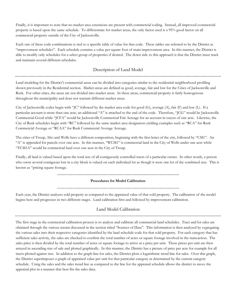Finally, it is important to note that no market area extensions are present with commercial coding. Instead, all improved commercial property is based upon the same schedule. To differentiate for market areas, the only factor used is a 95% good factor on all commercial property outside of the City of Jacksonville.

Each one of these code combinations is tied to a specific table of value for that code. These tables are referred to by the District as "improvement schedules". Each schedule contains a value per square foot of main improvement area. In this manner, the District is able to modify only schedules for a select group of properties if desired. The down side to this approach is that the District must track and maintain several different schedules.

# Description of Land Model

Land modeling for the District's commercial areas can be divided into categories similar to the residential neighborhood profiling shown previously in the Residential section. Market areas are defined as good, average, fair and low for the Cities of Jacksonville and Rusk. For other cities, the areas are not divided into market areas. In these areas, commercial property is fairly homogenous throughout the municipality and does not warrant different market areas.

City of Jacksonville codes begin with "JC" followed by the market area code for good (G), average (A), fair (F) and low (L). If a particular account is more than one acre, an additional "A" is attached to the end of the code. Therefore, "JCG" would be Jacksonville Commercial Good while "JCFA" would be Jacksonville Commercial Fair Acreage for an account in excess of one acre. Likewise, the City of Rusk schedules begin with "RC" followed by the same market area designators yielding examples such as "RCA" for Rusk Commercial Average or "RCAA" for Rusk Commercial Average Acreage.

The cities of Troup, Alto and Wells have a different composition, beginning with the first letter of the city, followed by "CM1". An "A" is appended for parcels over one acre. In this manner, "WCM1" is commercial land in the City of Wells under one acre while "TCM1A" would be commercial land over one acre in the City of Troup.

Finally, all land is valued based upon the total size of all contiguously controlled tracts of a particular owner. In other words, a person who owns several contiguous lots in a city block is valued on each individual lot as though it were one lot of the combined size. This is known as "pricing square footage.

# Procedures for Model Calibration

Each year, the District analyzes sold property as compared to the appraised value of that sold property. The calibration of the model begins here and progresses in two different stages. Land calibration first and followed by improvement calibration.

# Land Model Calibration

The first stage in the commercial calibration process is to analyze and calibrate all commercial land schedules. Tract and lot sales are obtained through the various means discussed in the section titled "Sources of Data". This information is then analyzed by segregating the various sales into their respective categories identified by the land schedule code for that sold property. For each category that has sufficient sales activity, the sales are checked to confirm the total number of acres or square footage involved in the transaction. The sales price is then divided by the total number of acres or square footage to arrive at a price per unit. These prices per unit are then arrayed in ascending size of sale and plotted graphically. In this manner, the District has a picture of price per acre for example for all tracts plotted against size. In addition to the graph line for sales, the District plots a logarithmic trend line for sales. Over this graph, the District superimposes a graph of appraised value per unit for that particular category as determined by the current category schedule. Using the sales and the sales trend line as compared to the line for the appraisal schedule allows the district to move the appraisal plot in a manner that best fits the sales data.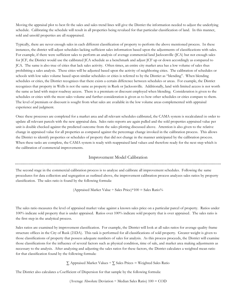Moving the appraisal plot to best fit the sales and sales trend lines will give the District the information needed to adjust the underlying schedule. Calibrating the schedule will result in all properties being revalued for that particular classification of land. In this manner, sold and unsold properties are all reappraised.

Typically, there are never enough sales in each different classification of property to perform the above mentioned process. In these instances, the district will adjust schedules lacking sufficient sales information based upon the adjustments of classifications with sales. For example, if there were sufficient sales to perform an analysis of average commercial land Jacksonville (JCA) but not enough sales for JCF, the District would use the calibrated JCA schedule as a benchmark and adjust JCF up or down accordingly as compared to JCA. The same is also true of cities that lack sales activity. Often times, an entire city market area has a low volume of sales thus prohibiting a sales analysis. These cities will be adjusted based upon the activity of neighboring cities. The calibration of schedules or schools with low sales volume based upon similar schedules or cities is referred to by the District as "blending". When blending schedules or cities, the District recognizes that there exists a certain difference between schedules or areas. For example, the District recognizes that property in Wells is not the same as property in Rusk or Jacksonville. Additionally, land with limited access is not worth the same as land with major roadway access. There is a premium or discount employed when blending. Consideration is given to the schedules or cities with the most sales volume and further consideration is given as to how other schedules or cities compare to them. The level of premium or discount is sought from what sales are available in the low volume areas complemented with appraisal experience and judgment.

Once these processes are completed for a market area and all relevant schedules calibrated, the CAMA system is recalculated in order to update all relevant parcels with the new appraisal data. Sales ratio reports are again pulled and the sold properties appraised value per unit is double checked against the predicted outcome from the sales plotting discussed above. Attention is also given to the relative change in appraised value for all properties as compared against the percentage change invoked in the calibration process. This allows the District to identify properties or schedules of property that did not change in the manner anticipated by the calibration process. When these tasks are complete, the CAMA system is ready with reappraised land values and therefore ready for the next step which is the calibration of commercial improvements.

# Improvement Model Calibration

The second stage in the commercial calibration process is to analyze and calibrate all improvement schedules. Following the same procedures for data collection and segregation as outlined above, the improvement calibration process analyzes sales ratios by property classification. The sales ratio is found by the following formula:

(Appraised Market Value ÷ Sales Price)\*100 = Sales Ratio%

The sales ratio measures the level of appraised market value against a known sales price on a particular parcel of property. Ratios under 100% indicate sold property that is under appraised. Ratios over 100% indicate sold property that is over appraised. The sales ratio is the first step in the analytical process.

Sales ratios are examined by improvement classification. For example, the District will look at all sales ratios for average quality frame structure offices in the City of Rusk (21DA). This task is performed for all classifications of sold property. Greater weight is given to those classifications of property that possess adequate numbers of sales for analysis. As this process proceeds, the District will examine those classifications for the influence of several factors such as physical condition, time of sale, and market area making adjustments as necessary to the analysis. After analyzing and adjusting the sales ratios for these factors, the District calculates a weighted mean ratio for that classification found by the following formula:

 $\Sigma$  Appraised Market Values  $\div$   $\Sigma$  Sales Prices = Weighted Sales Ratio

The District also calculates a Coefficient of Dispersion for that sample by the following formula:

(Average Absolute Deviation  $\div$  Median Sales Ratio) 100 = COD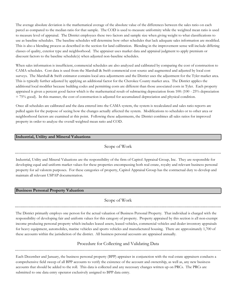The average absolute deviation is the mathematical average of the absolute value of the differences between the sales ratio on each parcel as compared to the median ratio for that sample. The COD is used to measure uniformity while the weighted mean ratio is used to measure level of appraisal. The District employees these two factors and sample size when giving weight to what classifications to use as baseline schedules. The baseline schedules will determine how other schedules that lack adequate sales information are modified. This is also a blending process as described in the section for land calibration. Blending in the improvement sense will include differing classes of quality, exterior type and neighborhood. The appraiser uses market data and appraisal judgment to apply premium or discount factors to the baseline schedule(s) when adjusted non-baseline schedules.

When sales information is insufficient, commercial schedules are also analyzed and calibrated by comparing the cost of construction to CAMA schedules. Cost data is used from the Marshall & Swift commercial cost source and augmented and adjusted by local cost surveys. The Marshall & Swift estimator contains local area adjustments and the District uses the adjustment for the Tyler market area. This is typically further adjusted by applying an additional factor for the Cherokee County market area. The District applies the additional local modifier because building codes and permitting costs are different than those associated costs in Tyler. Each property appraised is given a percent good factor which is the mathematical result of subtracting depreciation from 100: (100 - 25% depreciation = 75% good). In this manner, the cost of construction is adjusted for accumulated depreciation and physical condition.

Once all schedules are calibrated and the data entered into the CAMA system, the system is recalculated and sales ratio reports are pulled again for the purpose of seeing how the changes actually affected the system. Modifications to schedules or to other area or neighborhood factors are examined at this point. Following these adjustments, the District combines all sales ratios for improved property in order to analyze the overall weighted mean ratio and COD.

# Industrial, Utility and Mineral Valuations

Scope of Work

Industrial, Utility and Mineral Valuations are the responsibility of the firm of Capitol Appraisal Group, Inc. They are responsible for developing equal and uniform market values for these properties encompassing both real estate, royalty and relevant business personal property for ad valorem purposes. For these categories of property, Capitol Appraisal Group has the contractual duty to develop and maintain all relevant USPAP documentation.

# Business Personal Property Valuation

Scope of Work

The District primarily employs one person for the actual valuation of Business Personal Property. That individual is charged with the responsibility of developing fair and uniform values for this category of property. Property appraised by this section is all non-exempt income producing personal property which includes leased assets, leased vehicles, commercial vehicles and dealer inventory appraisals for heavy equipment, automobiles, marine vehicles and sports vehicles and manufactured housing. There are approximately 1,700 of these accounts within the jurisdiction of the district. All business personal accounts are appraised annually.

> Procedure for Collecting and Validating Data

Each December and January, the business personal property (BPP) appraiser in conjunction with the real estate appraisers conducts a comprehensive field sweep of all BPP accounts to verify the existence of the account and ownership, as well as, any new business accounts that should be added to the roll. This data is collected and any necessary changes written up on PRCs. The PRCs are submitted to one data entry operator exclusively assigned to BPP data entry.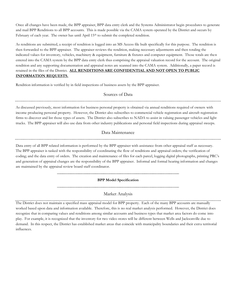Once all changes have been made, the BPP appraiser, BPP data entry clerk and the Systems Administrator begin procedures to generate and mail BPP Renditions to all BPP accounts. This is made possible via the CAMA system operated by the District and occurs by February of each year. The owner has until April 15<sup>th</sup> to submit the completed rendition.

As renditions are submitted, a receipt of rendition is logged into an MS Access file built specifically for this purpose. The rendition is then forwarded to the BPP appraiser. The appraiser reviews the rendition, making necessary adjustments and then totaling the indicated values for inventory, vehicles, machinery & equipment, furniture & fixtures and computer equipment. Those totals are then entered into the CAMA system by the BPP data entry clerk thus comprising the appraisal valuation record for the account. The original rendition and any supporting documentation and appraisal notes are scanned into the CAMA system. Additionally, a paper record is retained in the files of the District. ALL RENDITIONS ARE CONFIDENTIAL AND NOT OPEN TO PUBLIC INFORMATION REQUESTS.

Rendition information is verified by in field inspections of business assets by the BPP appraiser.

# Sources of Data

As discussed previously, most information for business personal property is obtained via annual renditions required of owners with income producing personal property. However, the District also subscribes to commercial vehicle registration and aircraft registration firms to discover and list those types of assets. The District also subscribes to NADA to assist in valuing passenger vehicles and light trucks. The BPP appraiser will also use data from other industry publications and personal field inspections during appraisal sweeps.

# Data Maintenance

Data entry of all BPP related information is performed by the BPP appraiser with assistance from other appraisal staff as necessary. The BPP appraiser is tasked with the responsibility of coordinating the flow of renditions and appraisal orders; the verification of coding; and the data entry of orders. The creation and maintenance of files for each parcel, logging digital photographs, printing PRC's and generation of appraisal changes are the responsibility of the BPP appraiser. Informal and formal hearing information and changes are maintained by the appraisal review board staff coordinator.

#### BPP Model Specification

# Market Analysis

The District does not maintain a specified mass appraisal model for BPP property. Each of the many BPP accounts are manually worked based upon data and information available. Therefore, this is no real market analysis performed. However, the District does recognize that in comparing values and renditions among similar accounts and business types that market area factors do come into play. For example, it is recognized that the inventory for two video stores will be different between Wells and Jacksonville due to demand. In this respect, the District has established market areas that coincide with municipality boundaries and their extra territorial influences.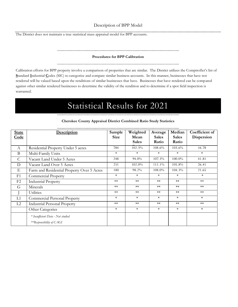# Description of BPP Model

The District does not maintain a true statistical mass appraisal model for BPP accounts.

#### Procedures for BPP Calibration

Calibration efforts for BPP property involve a comparison of properties that are similar. The District utilizes the Comptroller's list of Standard Industrial Codes (SIC) to categorize and compare similar business accounts. In this manner, businesses that have not rendered will be valued based upon the renditions of similar businesses that have. Businesses that have rendered can be compared against other similar rendered businesses to determine the validity of the rendition and to determine if a spot field inspection is warranted.

# Statistical Results for 2021

| <b>State</b>   | <b>Description</b>                         | Sample      | Weighted     | Average         | Median       | Coefficient of |
|----------------|--------------------------------------------|-------------|--------------|-----------------|--------------|----------------|
| Code           |                                            | <b>Size</b> | Mean         | <b>Sales</b>    | <b>Sales</b> | Dispersion     |
|                |                                            |             | <b>Sales</b> | Ratio           | Ratio        |                |
| A              | Residential Property Under 5 acres         | 784         | 102.3%       | 108.6%          | 103.6%       | 16.78          |
| B              | Multi-Family Units                         | $*$         | $\ast$       | $\ast$          | $\ast$       | $\ast$         |
| $\mathsf{C}$   | Vacant Land Under 5 Acres                  | 248         | 94.0%        | 107.3%          | 100.0%       | 41.81          |
| D              | Vacant Land Over 5 Acres                   | 251         | 102.0%       | 111.1%          | 105.8%       | 26.41          |
| Ε              | Farm and Residential Property Over 5 Acres | 180         | 98.2%        | 108.0%          | 104.3%       | 21.65          |
| F1             | <b>Commercial Property</b>                 | $*$         | $\star$      | $\ast$          | $\ast$       | $\ast$         |
| F <sub>2</sub> | <b>Industrial Property</b>                 | $***$       | $***$        | $**$            | $***$        | $**$           |
| G              | Minerals                                   | $***$       | $**$         | $\star$ $\star$ | $***$        | $***$          |
|                | Utilities                                  | $***$       | $***$        | $***$           | $***$        | $**$           |
| L1             | Commercial Personal Property               | $\ast$      | $\star$      | $\ast$          | $\ast$       | $\ast$         |
| L2             | <b>Industrial Personal Property</b>        | $***$       | $**$         | $**$            | $***$        | $**$           |
|                | Other Categories                           | $*$         | $\star$      | $*$             | $\ast$       | $\ast$         |
|                | * Insufficient Data - Not studied          |             |              |                 |              |                |
|                | **Responsibility of CAGI                   |             |              |                 |              |                |

#### Cherokee County Appraisal District Combined Ratio Study Statistics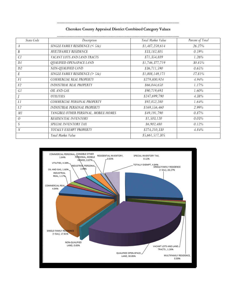| State Code       | Description                            | Total Market Value | Percent of Total |
|------------------|----------------------------------------|--------------------|------------------|
| $\boldsymbol{A}$ | SINGLE FAMILY RESIDENCE ( $\leq 5Ac$ ) | \$1,487,259,614    | 26.27%           |
| $\boldsymbol{B}$ | <b>MULTIFAMILY RESIDENCE</b>           | \$33,182,805       | 0.59%            |
| C1               | VACANT LOTS AND LAND TRACTS            | \$71,354,889       | 1.26%            |
| D <sub>1</sub>   | QUALIFIED OPEN-SPACE LAND              | \$1,746,377,719    | 30.85%           |
| D2               | NON-QUALIFIED LAND                     | \$36,711,590       | 0.65%            |
| E                | SINGLE FAMILY RESIDENCE ( $> 5Ac$ )    | \$1,008,149,171    | 17.81%           |
| F1               | COMMERCIAL REAL PROPERTY               | \$279,800,924      | 4.94%            |
| F <sub>2</sub>   | <b>INDUSTRIAL REAL PROPERTY</b>        | \$66,044,650       | 1.17%            |
| G1               | OIL AND GAS                            | \$90,719,693       | 1.60%            |
| J                | <b>UTILITIES</b>                       | \$247,699,790      | 4.38%            |
| L1               | COMMERCIAL PERSONAL PROPERTY           | \$92,852,280       | 1.64%            |
| L <sub>2</sub>   | INDUSTRIAL PERSONAL PROPERTY           | \$169,556,460      | 2.99%            |
| M1               | TANGIBLE OTHER PERSONAL, MOBILE HOMES  | \$49,191,790       | 0.87%            |
| $\overline{O}$   | <b>RESIDENTIAL INVENTORY</b>           | \$1,503,120        | 0.03%            |
| S                | SPECIAL INVENTORY TAX                  | \$6,902,480        | 0.12%            |
| $\boldsymbol{X}$ | TOTALLY EXEMPT PROPERTY                | \$274,210,330      | 4.84%            |
|                  | Total Market Value                     | \$5,661,517,305    |                  |

**Cherokee County Appraisal District Combined Category Values** 

..............

. . . . . . . . . . . . . . . . . .

.......................

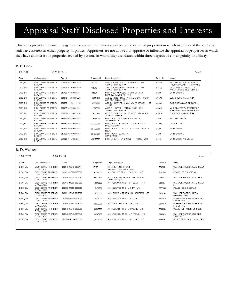# Appraisal Staff Disclosed Properties and Interests

This list is provided pursuant to agency disclosure requirements and comprises a list of properties in which members of the appraisal staff have interest in either property or parties. Appraisers are not allowed to appraise or influence the appraisal of properties in which they have an interest or properties owned by persons in whom they are related within three degrees of consanguinity or affinity.

#### B. P. Cook

| 12/8/2021 | 5:09:34PM                                    |                      |             |                                                                      |          | Page 1                                                            |
|-----------|----------------------------------------------|----------------------|-------------|----------------------------------------------------------------------|----------|-------------------------------------------------------------------|
| Code      | Code description                             | Geo ID               | Property ID | <b>Legal Description</b>                                             | Owner ID | Name                                                              |
| DISC BC   | <b>DISCLOSURE PROPERTY</b><br><b>B. COOK</b> | 000457-08420-000100A | 102241      | A 457 BLK 842 TR 1A WM JOHNSON K14<br>1/3 UND INT IN 83.48 AC        | 9786429  | MCCLAIN PHILIP A TRUSTEE OF<br>PHILIP A MCCLAIN TRUST SHARE       |
| DISC_BC   | <b>DISCLOSURE PROPERTY</b><br><b>B. COOK</b> | 000457-08420-000100B | 102242      | A 457 BLK 842 TR 1B WM JOHNSON K14<br>1/3 UND INT IN 83.48 AC        | 9786430  | <b>COOK KAREN L TRUSTEE OF</b><br><b>KAREN L COOK TRUST SHARE</b> |
| DISC BC   | <b>DISCLOSURE PROPERTY</b><br><b>B. COOK</b> | 215180-00030-0008001 | 108934      | LOT 8-1 BLK 3 BUTLER P T CITY OF RUSK<br>IMP ONLY HWC0401101 (MP)    | 616260   | SMITH LARRY C                                                     |
| DISC BC   | <b>DISCLOSURE PROPERTY</b><br><b>B</b> COOK  | 000070-11230-0030A00 | 109621110   | A 70 BLK 1123 TR 30A WM ANDERSON (RUSK<br>SUB STATION ON LOOP)       | 9786076  | <b>BURNS JOHN D &amp; KATRINA</b>                                 |
| DISC BC   | <b>DISCLOSURE PROPERTY</b><br><b>B. COOK</b> | 000070-1122A-0029000 | 109684000   | A 70 BLK 1122A TR 29 & 24 WM ANDERSON<br>$\overline{1}$ OT<br>15 J12 | 9840006  | <b>GAULT BRYAN AND CHRISTINA</b>                                  |
| DISC BC   | <b>DISCLOSURE PROPERTY</b><br><b>B. COOK</b> | 000457-08420-0001000 | 113925000   | A 457 BLK 842 TR 1 WM JOHNSON K14<br>1/3 UND INT IN 83.48 AC         | 9786428  | MCCLAIN JERRY A TRUSTEE OF<br>JERRY A MCCLAIN TRUST SHARE         |
| DISC BC   | <b>DISCLOSURE PROPERTY</b><br><b>B. COOK</b> | 000557-12410-0013A00 | 115433110   | A 557 BLK 1241 TR 13A J S MILLS (RUSK SUB<br>STATION ON LOOP)        | 9786076  | <b>BURNS JOHN D &amp; KATRINA</b>                                 |
| DISC BC   | <b>DISCLOSURE PROPERTY</b><br><b>B. COOK</b> | 246150-00010-0002000 | 225679000   | LOT 2 BLK 1 BUCKNER R C - CITY OF<br><b>JACKSONVILLE</b>             | 429640   | <b>MCCLAIN JERRYA</b>                                             |
| DISC BC   | <b>DISCLOSURE PROPERTY</b><br><b>B. COOK</b> | 215180-00030-0006000 | 227795000   | LOT 6 BLK 3 BUTLER PT<br><b>CITY OF RUSK</b><br>PFS0919079/80R       | 9779068  | <b>COOK BRYAN</b>                                                 |
| DISC BC   | <b>DISCLOSURE PROPERTY</b><br><b>B. COOK</b> | 215180-00030-0007000 | 227796000   | LOT 7 BLK 3 LT 70X140 BUTLER P T - CITY OF<br><b>RUSK</b>            | 616260   | SMITH LARRY C                                                     |
| DISC BC   | <b>DISCLOSURE PROPERTY</b><br><b>B. COOK</b> | 215180-00030-0008000 | 227797000   | LOT 8 BLK 3 BUTLER PT<br><b>CITY OF RUSK</b>                         | 616260   | SMITH LARRY C                                                     |
| DISC BC   | <b>DISCLOSURE PROPERTY</b><br><b>B. COOK</b> | 623100-00050-0572000 | 430173782   | LOT 572 BLK 5 LAKEWOOD<br>71X123 - BISD                              | 891115   | SMITH LARRY AND ZELLA                                             |

#### R. D. Wallace:

| 12/8/2021      | 5:10:13PM                                       |                      |             |                                                       |          | Page 1                                                  |
|----------------|-------------------------------------------------|----------------------|-------------|-------------------------------------------------------|----------|---------------------------------------------------------|
| Code           | Code description                                | Geo ID               | Property ID | <b>Legal Description</b>                              | Owner ID | Name                                                    |
| <b>DISC DW</b> | <b>DISCLOSURE PROPERTY</b><br>D. WALLACE        | 000948-12340-0006A01 | 57125       | A 948 BLK 1234 TR 6A-1<br>IMP ONLY LOU0044307 (MP)    | 829385   | <b>WALLACE ROBERT D AND TRACY</b>                       |
| <b>DISC DW</b> | <b>DISCLOSURE PROPERTY</b><br>D. WALLACE        | 000011-11370-0003000 | 101229000   | A 11 BLK 1137 TR 3 J T COOK<br>J13                    | 9727388  | MOAKE JOE D & NELTA F                                   |
| <b>DISC DW</b> | <b>DISCLOSURE PROPERTY</b><br><b>D. WALLACE</b> | 000948-12340-0006A02 | 105222100   | A 948 BLK 1234 TR 6A-2 IMP ONLY MH<br>TEX0534551 (MP) | 9795547  | <b>WALLACE ROBERT D AND TRACY</b>                       |
| <b>DISC DW</b> | DISCLOSURE PROPERTY<br>D. WALLACE               | 000143-11300-0027000 | 110519000   | A 143 BLK 1130 TR 27 C K BEACH J12                    | 829385   | <b>WALLACE ROBERT D AND TRACY</b>                       |
| <b>DISC DW</b> | <b>DISCLOSURE PROPERTY</b><br>D. WALLACE        | 000759-11350-0006000 | 117491000   | A 759 BLK 1135 TR 6 J SHIPP J13                       | 9727388  | MOAKE JOE D & NELTA F                                   |
| <b>DISC DW</b> | <b>DISCLOSURE PROPERTY</b><br>D. WALLACE        | 000831-13140-0012000 | 118386000   | A 831 BLK 1314 TR 12 & 13B J THOMAS 103               | 9816794  | <b>WALLACE DARRELL LEE &amp;</b><br><b>BARBARA LYNN</b> |
| <b>DISC DW</b> | <b>DISCLOSURE PROPERTY</b><br><b>D. WALLACE</b> | 000948-12340-0007000 | 120029000   | A 948 BLK 1234 TR 7 J B YOUNG J13                     | 9817819  | ETHEREDGE ALVIN J & SHELTA<br><b>LIFE ESTATE</b>        |
| <b>DISC DW</b> | <b>DISCLOSURE PROPERTY</b><br>D. WALLACE        | 000948-12340-0008000 | 120030000   | A 948 BLK 1234 TR 8 J B YOUNG J13                     | 9817819  | ETHEREDGE ALVIN J & SHELTA<br><b>LIFE ESTATE</b>        |
| <b>DISC DW</b> | <b>DISCLOSURE PROPERTY</b><br>D. WALLACE        | 000948-12340-0006000 | 120045000   | A 948 BLK 1234 TR 6 J B YOUNG J13                     | 9784860  | <b>MOAKE NELTA NORTON &amp; JOE</b>                     |
| <b>DISC DW</b> | <b>DISCLOSURE PROPERTY</b><br>D. WALLACE        | 000948-12340-0006A00 | 120045100   | A 948 BLK 1234 TR 6A J B YOUNG J13                    | 9806424  | WALLACE ROBERT DALE AND<br><b>TRACY LEE</b>             |
| <b>DISC DW</b> | <b>DISCLOSURE PROPERTY</b><br><b>D. WALLACE</b> | 000948-12340-0005000 | 120051000   | JB YOUNG J13<br>A 948 BLK 1234 TR 5                   | 710820   | BOYKIN SHIRLEY RUTH WALLACE                             |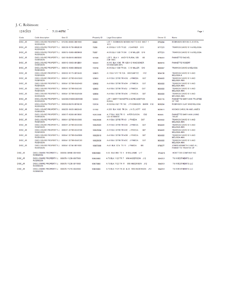# J. C. Robinson:

 $-$  5:10:46PM  $12/8/\overline{2021}$ 

| Code           | Code description                                                | Geo ID               | <b>Property ID</b> | <b>Legal Description</b>                                                 | Owner ID | Name                                                  |
|----------------|-----------------------------------------------------------------|----------------------|--------------------|--------------------------------------------------------------------------|----------|-------------------------------------------------------|
| DISC JR        | DISCLOSURE PROPERTY J. 615385-00000-0001000<br><b>ROBINSON</b>  |                      | 56820              | LOT 1 ROBINSON MOSES HUTTO S/D SECT 1<br>K <sub>13</sub>                 | 9783294  | ROBINSON BRYAN D JR ETAL                              |
| DISC_JR        | DISCLOSURE PROPERTY J. 000339-15790-0002C00<br><b>ROBINSON</b>  |                      | 79286              | A 339 BLK 1579 TR 2C J GARNER G10                                        | 9777221  | TRAWICK DAVID W II & MELISSA                          |
| DISC JR        | DISCLOSURE PROPERTY J. 000615-15800-0009H00<br><b>ROBINSON</b>  |                      | 79287              | A 615 BLK 1580 TR 9H C W MILLER G10                                      | 9777221  | <b>TRAWICK DAVID W II &amp; MELISSA</b>               |
| DISC JR        | DISCLOSURE PROPERTY J. 646118-00010-0005000<br><b>ROBINSON</b>  |                      | 101928             | LOT 5 BLK 1 ANDY'S RURAL S/D<br>106<br>(CB 1360)                         | 9786451  | <b>FANNETTE RACHEL</b>                                |
| DISC JR        | DISCLOSURE PROPERTY J. 000915-13850-0012B01<br><b>ROBINSON</b>  |                      | 109361             | A 915 BLK 1385 TR 12B-1 G WAGGONER<br>NTA0622426 (MP)                    | 9849910  | <b>FANNETTE ROBERT</b>                                |
| DISC_JR        | DISCLOSURE PROPERTY J. 000615-15800-0006A00<br><b>ROBINSON</b>  |                      | 118758             | A 615 BLK 1580 TR 6A C W MILLER G10                                      | 9800867  | <b>TRAWICK DAVID &amp; MELISSA</b>                    |
| DISC JR        | DISCLOSURE PROPERTY J. 000003-14170-0013A00<br><b>ROBINSON</b>  |                      | 128873             | A 3 BLK 1417 TR 13A WM BARTEE<br>H <sub>12</sub>                         | 9834138  | <b>TRAWICK DAVID W II AND</b><br><b>MELISSA A</b>     |
| DISC JR        | DISCLOSURE PROPERTY J. 000041-3279B-0043G00<br><b>ROBINSON</b>  |                      | 129091             | A 41 BLK 3279B TR 43G J PINEDA<br>G <sub>07</sub>                        | 9834583  | TRAWICK DAVID W II AND<br><b>MELISSA ANN</b>          |
| <b>DISC JR</b> | DISCLOSURE PROPERTY J. 000041-3279B-0043H00<br><b>ROBINSON</b>  |                      | 129092             | G07<br>A 41 BLK 3279B TR 43H J PINEDA                                    | 9834583  | TRAWICK DAVID W II AND<br><b>MELISSA ANN</b>          |
| DISC_JR        | DISCLOSURE PROPERTY J. 000041-3279B-0043J00<br><b>ROBINSON</b>  |                      | 129093             | G07<br>A 41 BLK 3279B TR 43J J PINEDA                                    | 9834583  | <b>TRAWICK DAVID W II AND</b><br><b>MELISSA ANN</b>   |
| <b>DISC JR</b> | DISCLOSURE PROPERTY J. 000041-3279B-0043K00<br><b>ROBINSON</b>  |                      | 129094             | A 41 BLK 3279B TR 43K J PINEDA<br>G07                                    | 9834583  | TRAWICK DAVID W II AND<br><b>MELISSA ANN</b>          |
| DISC_JR        | DISCLOSURE PROPERTY J. 646369-010000-0001000<br><b>ROBINSON</b> |                      | 129161             | LOT 1 MARY FANNETTE 2 ACRE ADDITION<br><b>RURAL</b>                      | 9835116  | FANNETTE MARY ANN TRUSTEE<br>OF THE                   |
| DISC JR        | DISCLOSURE PROPERTY J. 000832-08210-0016C00<br><b>ROBINSON</b>  |                      | 130134             | A 832 BLK 821 TR 16C J THOMASON BARN K12                                 | 9838264  | ROBINSON CLAY AND MELISSA                             |
| DISC_JR        | DISCLOSURE PROPERTY J. 000255-10030-0002A00<br><b>ROBINSON</b>  |                      | 131992             | A 255 BLK 1003 TR 2A J N ELLIOTT K12                                     | 9839611  | <b>HOOKS CAROLYN AND JAMES</b>                        |
| DISC JR        | DISCLOSURE PROPERTY J. 000017-18260-0013000<br><b>ROBINSON</b>  |                      | 102533000          | A 17 BLK 1826 TR 13 A FERGUSON<br>E <sub>02</sub><br><b>UDI INTEREST</b> | 904445   | <b>FANNETTE MARY ANN LIVING</b><br><b>TRUST</b>       |
| DISC JR        | DISCLOSURE PROPERTY J. 000041-3279B-0043000<br><b>ROBINSON</b>  |                      | 106529000          | A 41 BLK 3279B TR 43 J PINEDA<br>G07                                     | 9834583  | TRAWICK DAVID W II AND<br><b>MELISSA ANN</b>          |
| DISC JR        | DISCLOSURE PROPERTY J. 000041-3279B-0043D00<br><b>ROBINSON</b>  |                      | 106529003          | G07<br>A 41 BLK 3279B TR 43D J PINEDA                                    | 9834583  | TRAWICK DAVID W II AND<br><b>MELISSA ANN</b>          |
| DISC JR        | DISCLOSURE PROPERTY J. 000041-3279B-0043E00<br><b>ROBINSON</b>  |                      | 106529004          | A 41 BLK 3279B TR 43E J PINEDA<br>G07                                    | 9834583  | <b>TRAWICK DAVID W II AND</b><br><b>MELISSA ANN</b>   |
| DISC JR        | DISCLOSURE PROPERTY J. 000041-3279B-0043B00<br><b>ROBINSON</b>  |                      | 106529010          | G07<br>A 41 BLK 3279B TR 43B J PINEDA                                    | 9834583  | TRAWICK DAVID W II AND<br><b>MELISSA ANN</b>          |
| DISC JR        | DISCLOSURE PROPERTY J. 000041-3279B-0043C00<br><b>ROBINSON</b>  |                      | 106529030          | A 41 BLK 3279B TR 43C J PINEDA<br>G <sub>07</sub>                        | 9834583  | TRAWICK DAVID W II AND<br><b>MELISSA ANN</b>          |
| DISC_JR        | DISCLOSURE PROPERTY J. 000041-12740-0011000<br><b>ROBINSON</b>  |                      | 106673000          | 106<br>A 41 BLK 1274 TR 11 J PINEDA                                      | 9798577  | JONES KENNETH V AND A L<br><b>FANNETTE TRUSTEE OF</b> |
| DISC_JR        | <b>DISCLOSURE PROPERTY J.</b><br><b>ROBINSON</b>                | 000055-08980-0001000 | 109039000          | A 55 BLK 898 TR 1 B WILLIAMS<br>L <sub>17</sub>                          | 9744215  | HORTTOR COMPANY INC                                   |
| DISC JR        | DISCLOSURE PROPERTY J. 000070-11230-0007000<br><b>ROBINSON</b>  |                      | 109559000          | A 70 BLK 1123 TR 7 WM ANDERSON J12                                       | 9840131  | <b>T6 INVESTMENTS LLC</b>                             |
| DISC JR        | <b>DISCLOSURE PROPERTY J.</b><br><b>ROBINSON</b>                | 000070-11230-0011000 | 109578000          | A 70 BLK 1123 TR 11 WM ANDERSON<br>J12                                   | 9840131  | <b>T6 INVESTMENTS LLC</b>                             |
| DISC_JR        | DISCLOSURE PROPERTY J. 000070-11210-0022000<br><b>ROBINSON</b>  |                      | 109618000          | A 70 BLK 1121 TR 22 & 23 WM ANDERSON J12                                 | 9840131  | <b>T6 INVESTMENTS LLC</b>                             |

Page 1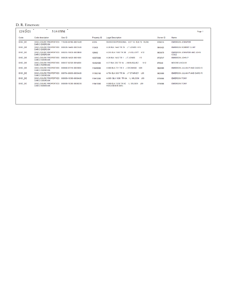### D. R. Emerson:

| $\sim$<br>5:14:05PM                                  |         |                      |             |                                                              | Page 1   |                                   |
|------------------------------------------------------|---------|----------------------|-------------|--------------------------------------------------------------|----------|-----------------------------------|
| Code description                                     | Code    | Geo ID               | Property ID | <b>Legal Description</b>                                     | Owner ID | Name                              |
| DISCLOSURE PROPERTIES<br><b>DARCIEMERSON</b>         | DISC DE | 115000-00160-0001A0B | 57215       | BUSINESS PERSONAL LOT 1A BLK 16 RUSK                         | 9768315  | <b>EMERSON JENNIFER</b>           |
| DISCLOSURE PROPERTIES<br><b>DARCI EMERSON</b>        | DISC DE | 000026-14450-0007A00 | 115438      | A 26 BLK 1445 TR 7A J T JONES H15                            | 9840425  | <b>EMERSON ROBERT CLINT</b>       |
| DISCLOSURE PROPERTIES<br><b>DARCI EMERSON</b>        | DISC DE | 000255-10030-0003B00 | 129582      | A 255 BLK 1003 TR 3B J N ELLIOTT K12                         | 9835679  | EMERSON JENNIFER AND JOHN<br>COLE |
| <b>DISCLOSURE PROPERTIES</b><br><b>DARCI EMERSON</b> | DISC DE | 000026-14520-0001000 | 103573000   | A 26 BLK 1452 TR 1 J T JONES<br>113                          | 9736747  | <b>EMERSON JOHN P</b>             |
| DISCLOSURE PROPERTIES<br><b>DARCIEMERSON</b>         | DISC DE | 000037-02320-0014000 | 104921000   | N <sub>12</sub><br>A 37 BLK 232 TR 14 J M MUSQUEZ            | 876940   | <b>MOORE LINDA B</b>              |
| <b>DISCLOSURE PROPERTIES</b><br><b>DARCI EMERSON</b> | DISC DE | 000660-07310-0003000 | 116498000   | A 660 BLK 731 TR 3 J ORCHARD K09                             | 9826989  | EMERSON JULIAN P AND DARCI R      |
| DISCLOSURE PROPERTIES<br><b>DARCI EMERSON</b>        | DISC DE | 000784-06050-0005A00 | 117882100   | A 784 BLK 605 TR 5A J F STARKEY<br>$L_{0.9}$                 | 9826989  | EMERSON JULIAN P AND DARCI R      |
| DISCLOSURE PROPERTIES<br><b>DARCI EMERSON</b>        | DISC DE | 000889-10300-0006A00 | 119412000   | A 889 BLK 1030 TR 6A II WILSON J09                           | 9796966  | <b>EMERSON TONY</b>               |
| DISCLOSURE PROPERTIES<br><b>DARCI EMERSON</b>        |         | 000889-10300-0006C00 | 119413000   | A 889 BLK 1030 TR 6C IL WILSON J09<br><b>HWC0383878 (MR)</b> | 9796966  | <b>EMERSON TONY</b>               |
|                                                      | DISC DE |                      |             |                                                              |          |                                   |